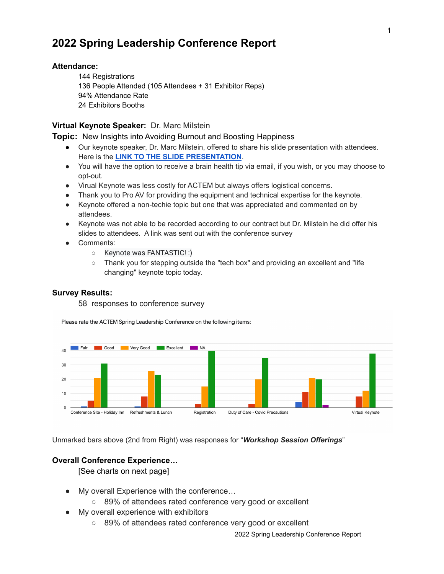# **2022 Spring Leadership Conference Report**

## **Attendance:**

 Registrations People Attended (105 Attendees + 31 Exhibitor Reps) 94% Attendance Rate Exhibitors Booths

## **Virtual Keynote Speaker:** Dr. Marc Milstein

#### **Topic:** New Insights into Avoiding Burnout and Boosting Happiness

- Our keynote speaker, Dr. Marc Milstein, offered to share his slide presentation with attendees. Here is the **LINK TO THE SLIDE [PRESENTATION](https://drmarcmilstein.com/pdf/boosting-happiness-and-avoiding-burnout)**.
- You will have the option to receive a brain health tip via email, if you wish, or you may choose to opt-out.
- Virual Keynote was less costly for ACTEM but always offers logistical concerns.
- Thank you to Pro AV for providing the equipment and technical expertise for the keynote.
- Keynote offered a non-techie topic but one that was appreciated and commented on by attendees.
- Keynote was not able to be recorded according to our contract but Dr. Milstein he did offer his slides to attendees. A link was sent out with the conference survey
- Comments:
	- Keynote was FANTASTIC! :)
	- Thank you for stepping outside the "tech box" and providing an excellent and "life changing" keynote topic today.

### **Survey Results:**

58 responses to conference survey

Please rate the ACTEM Spring Leadership Conference on the following items:



Unmarked bars above (2nd from Right) was responses for "*Workshop Session Offerings*"

## **Overall Conference Experience…**

[See charts on next page]

- My overall Experience with the conference…
	- 89% of attendees rated conference very good or excellent
- My overall experience with exhibitors
	- 89% of attendees rated conference very good or excellent

2022 Spring Leadership Conference Report